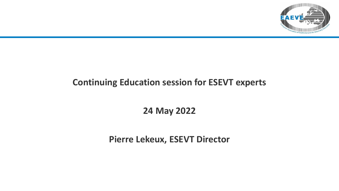

### **Continuing Education session for ESEVT experts**

**24 May 2022**

**Pierre Lekeux, ESEVT Director**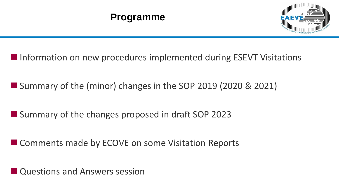

- Information on new procedures implemented during ESEVT Visitations
- Summary of the (minor) changes in the SOP 2019 (2020 & 2021)
- Summary of the changes proposed in draft SOP 2023
- Comments made by ECOVE on some Visitation Reports

■ Questions and Answers session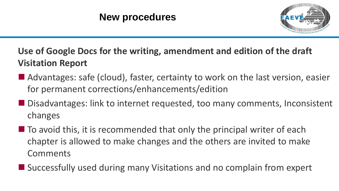

**Use of Google Docs for the writing, amendment and edition of the draft Visitation Report**

- Advantages: safe (cloud), faster, certainty to work on the last version, easier for permanent corrections/enhancements/edition
- Disadvantages: link to internet requested, too many comments, Inconsistent changes
- $\blacksquare$  To avoid this, it is recommended that only the principal writer of each chapter is allowed to make changes and the others are invited to make Comments
- Successfully used during many Visitations and no complain from expert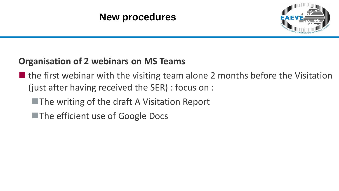

## **Organisation of 2 webinars on MS Teams**

- $\blacksquare$  the first webinar with the visiting team alone 2 months before the Visitation (just after having received the SER) : focus on :
	- ■The writing of the draft A Visitation Report
	- ■The efficient use of Google Docs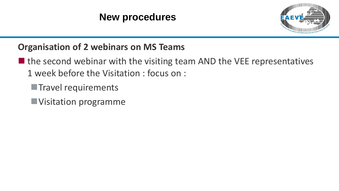

### **Organisation of 2 webinars on MS Teams**

- $\blacksquare$  the second webinar with the visiting team AND the VEE representatives 1 week before the Visitation : focus on :
	- **Travel requirements**
	- ■Visitation programme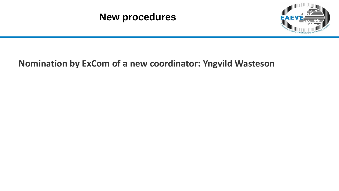

### **Nomination by ExCom of a new coordinator: Yngvild Wasteson**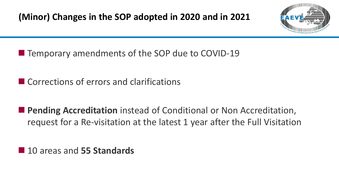

■ Temporary amendments of the SOP due to COVID-19

- Corrections of errors and clarifications
- **Pending Accreditation** instead of Conditional or Non Accreditation, request for a Re-visitation at the latest 1 year after the Full Visitation

■ 10 areas and 55 Standards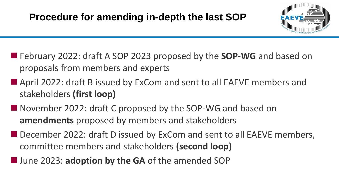

- February 2022: draft A SOP 2023 proposed by the **SOP-WG** and based on proposals from members and experts
- April 2022: draft B issued by ExCom and sent to all EAEVE members and stakeholders **(first loop)**
- November 2022: draft C proposed by the SOP-WG and based on **amendments** proposed by members and stakeholders
- December 2022: draft D issued by ExCom and sent to all EAEVE members, committee members and stakeholders **(second loop)**
- June 2023: **adoption by the GA** of the amended SOP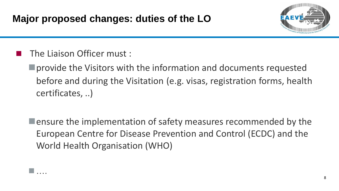

The Liaison Officer must :

■ provide the Visitors with the information and documents requested before and during the Visitation (e.g. visas, registration forms, health certificates, ..)

 $\blacksquare$  ensure the implementation of safety measures recommended by the European Centre for Disease Prevention and Control (ECDC) and the World Health Organisation (WHO)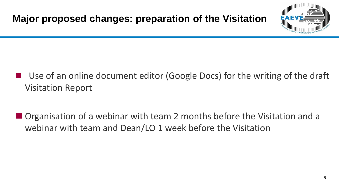

# Use of an online document editor (Google Docs) for the writing of the draft Visitation Report

■ Organisation of a webinar with team 2 months before the Visitation and a webinar with team and Dean/LO 1 week before the Visitation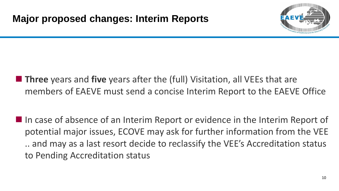

- **Three** years and **five** years after the (full) Visitation, all VEEs that are members of EAEVE must send a concise Interim Report to the EAEVE Office
- In case of absence of an Interim Report or evidence in the Interim Report of potential major issues, ECOVE may ask for further information from the VEE .. and may as a last resort decide to reclassify the VEE's Accreditation status to Pending Accreditation status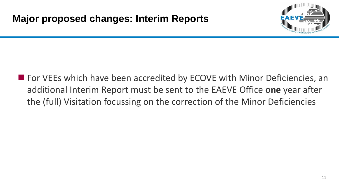

■ For VEEs which have been accredited by ECOVE with Minor Deficiencies, an additional Interim Report must be sent to the EAEVE Office **one** year after the (full) Visitation focussing on the correction of the Minor Deficiencies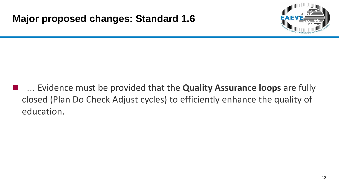

◼ … Evidence must be provided that the **Quality Assurance loops** are fully closed (Plan Do Check Adjust cycles) to efficiently enhance the quality of education.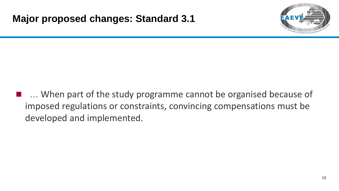

**EX4. When part of the study programme cannot be organised because of** imposed regulations or constraints, convincing compensations must be developed and implemented.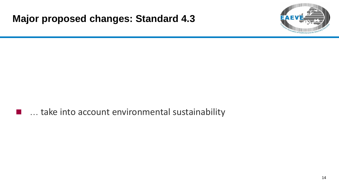### **Major proposed changes: Standard 4.3**



■ … take into account environmental sustainability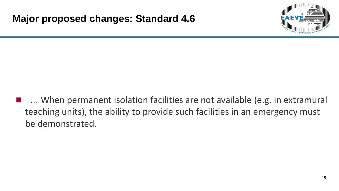

... When permanent isolation facilities are not available (e.g. in extramural teaching units), the ability to provide such facilities in an emergency must be demonstrated.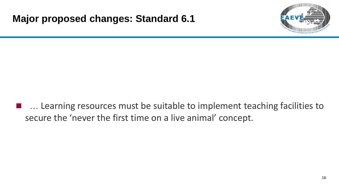

■ … Learning resources must be suitable to implement teaching facilities to secure the 'never the first time on a live animal' concept.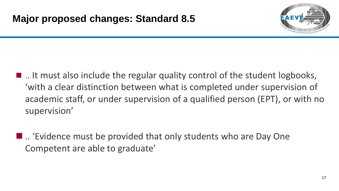

- .. It must also include the regular quality control of the student logbooks, 'with a clear distinction between what is completed under supervision of academic staff, or under supervision of a qualified person (EPT), or with no supervision'
- .. 'Evidence must be provided that only students who are Day One Competent are able to graduate'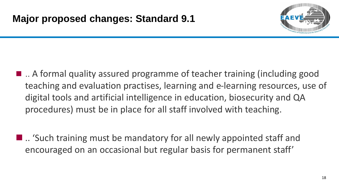

- .. A formal quality assured programme of teacher training (including good teaching and evaluation practises, learning and e-learning resources, use of digital tools and artificial intelligence in education, biosecurity and QA procedures) must be in place for all staff involved with teaching.
- .. 'Such training must be mandatory for all newly appointed staff and encouraged on an occasional but regular basis for permanent staff'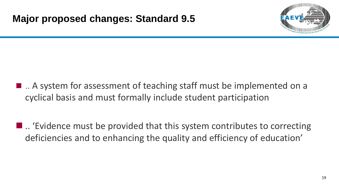

- .. A system for assessment of teaching staff must be implemented on a cyclical basis and must formally include student participation
- $\blacksquare$ .. 'Evidence must be provided that this system contributes to correcting deficiencies and to enhancing the quality and efficiency of education'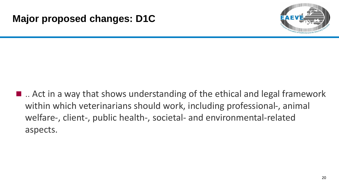

 $\blacksquare$ .. Act in a way that shows understanding of the ethical and legal framework within which veterinarians should work, including professional-, animal welfare-, client-, public health-, societal- and environmental-related aspects.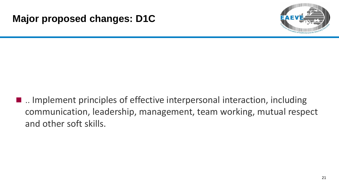

■ .. Implement principles of effective interpersonal interaction, including communication, leadership, management, team working, mutual respect and other soft skills.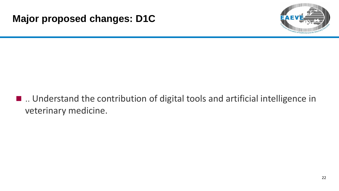

■ .. Understand the contribution of digital tools and artificial intelligence in veterinary medicine.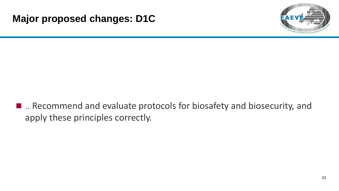

■ .. Recommend and evaluate protocols for biosafety and biosecurity, and apply these principles correctly.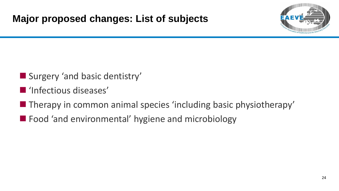

- Surgery 'and basic dentistry'
- 'Infectious diseases'
- Therapy in common animal species 'including basic physiotherapy'
- Food 'and environmental' hygiene and microbiology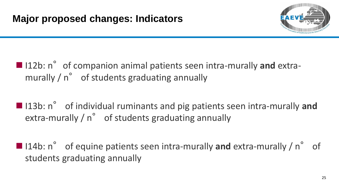

# ■ 112b: n° of companion animal patients seen intra-murally and extramurally / n° of students graduating annually

- 113b: n° of individual ruminants and pig patients seen intra-murally and extra-murally / n° of students graduating annually
- 114b: n° of equine patients seen intra-murally and extra-murally / n° of students graduating annually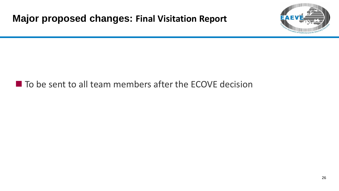

## ■ To be sent to all team members after the ECOVE decision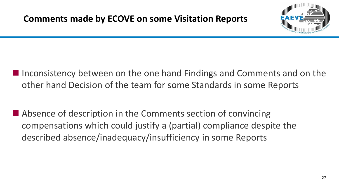

- Inconsistency between on the one hand Findings and Comments and on the other hand Decision of the team for some Standards in some Reports
- Absence of description in the Comments section of convincing compensations which could justify a (partial) compliance despite the described absence/inadequacy/insufficiency in some Reports